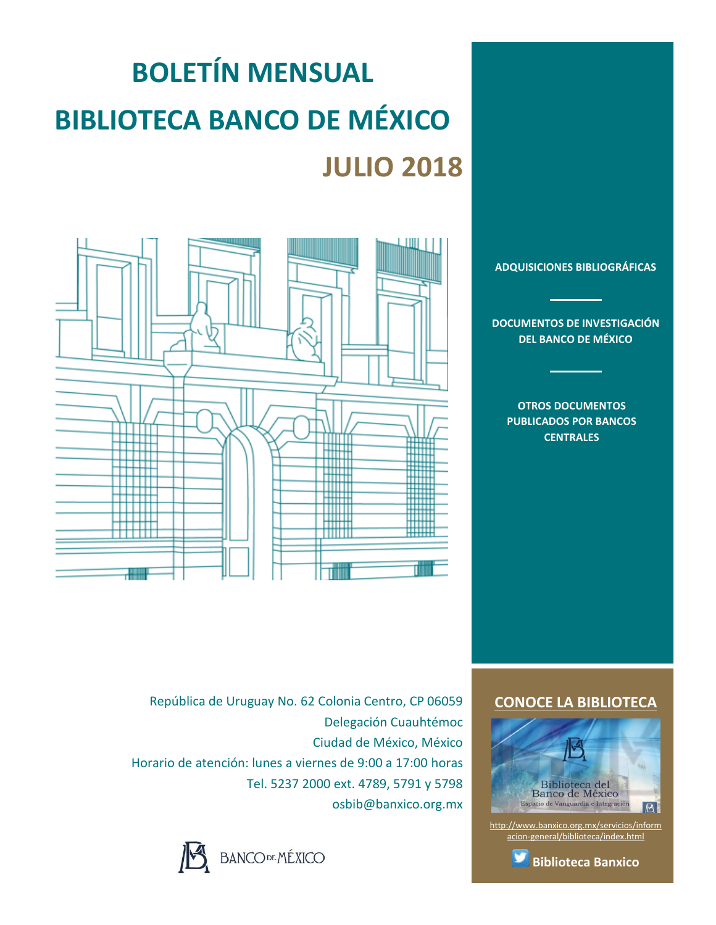# **BOLETÍN MENSUAL BIBLIOTECA BANCO DE MÉXICO JULIO 2018**



**[ADQUISICIONES BIBLIOGRÁFICAS](#page-1-0)**

**[DOCUMENTOS DE INVESTIGACIÓN](#page-2-0)  [DEL BANCO DE MÉXICO](#page-2-0)**

**[OTROS DOCUMENTOS](#page-3-0)  [PUBLICADOS POR](#page-3-0) BANCOS [CENTRALES](#page-3-0)**

República de Uruguay No. 62 Colonia Centro, CP 06059 Delegación Cuauhtémoc Ciudad de México, México Horario de atención: lunes a viernes de 9:00 a 17:00 horas Tel. 5237 2000 ext. 4789, 5791 y 5798 osbib@banxico.org.mx



### **[CONOCE LA BIBLIOTECA](http://www.banxico.org.mx/servicios/informacion-general/biblioteca/index.html)**



[http://www.banxico.org.mx/servicios/inform](http://www.banxico.org.mx/servicios/informacion-general/biblioteca/index.html) [acion-general/biblioteca/index.html](http://www.banxico.org.mx/servicios/informacion-general/biblioteca/index.html)

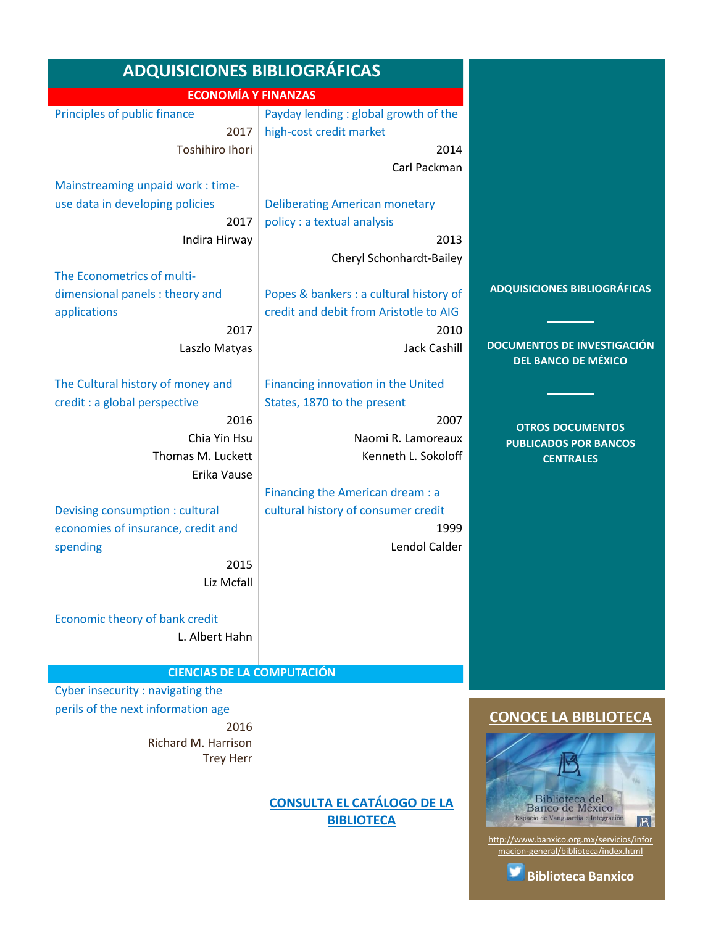<span id="page-1-0"></span>

| <b>ADQUISICIONES BIBLIOGRÁFICAS</b> |                                         |                                                                                   |
|-------------------------------------|-----------------------------------------|-----------------------------------------------------------------------------------|
| <b>ECONOMÍA Y FINANZAS</b>          |                                         |                                                                                   |
| Principles of public finance        | Payday lending : global growth of the   |                                                                                   |
| 2017                                | high-cost credit market                 |                                                                                   |
| <b>Toshihiro Ihori</b>              | 2014                                    |                                                                                   |
|                                     | Carl Packman                            |                                                                                   |
| Mainstreaming unpaid work: time-    |                                         |                                                                                   |
| use data in developing policies     | <b>Deliberating American monetary</b>   |                                                                                   |
| 2017                                | policy : a textual analysis             |                                                                                   |
| Indira Hirway                       | 2013                                    |                                                                                   |
|                                     | Cheryl Schonhardt-Bailey                |                                                                                   |
| The Econometrics of multi-          |                                         |                                                                                   |
| dimensional panels : theory and     | Popes & bankers : a cultural history of | <b>ADQUISICIONES BIBLIOGRÁFICAS</b>                                               |
| applications                        | credit and debit from Aristotle to AIG  |                                                                                   |
| 2017                                | 2010                                    |                                                                                   |
| Laszlo Matyas                       | Jack Cashill                            | <b>DOCUMENTOS DE INVESTIGACIÓN</b>                                                |
|                                     |                                         | <b>DEL BANCO DE MÉXICO</b>                                                        |
| The Cultural history of money and   | Financing innovation in the United      |                                                                                   |
| credit : a global perspective       | States, 1870 to the present             |                                                                                   |
| 2016                                | 2007                                    |                                                                                   |
| Chia Yin Hsu                        | Naomi R. Lamoreaux                      | <b>OTROS DOCUMENTOS</b>                                                           |
| Thomas M. Luckett                   | Kenneth L. Sokoloff                     | <b>PUBLICADOS POR BANCOS</b><br><b>CENTRALES</b>                                  |
| Erika Vause                         |                                         |                                                                                   |
|                                     | Financing the American dream : a        |                                                                                   |
| Devising consumption : cultural     | cultural history of consumer credit     |                                                                                   |
| economies of insurance, credit and  | 1999                                    |                                                                                   |
| spending                            | Lendol Calder                           |                                                                                   |
| 2015                                |                                         |                                                                                   |
| Liz Mcfall                          |                                         |                                                                                   |
|                                     |                                         |                                                                                   |
| Economic theory of bank credit      |                                         |                                                                                   |
| L. Albert Hahn                      |                                         |                                                                                   |
|                                     |                                         |                                                                                   |
| <b>CIENCIAS DE LA COMPUTACIÓN</b>   |                                         |                                                                                   |
| Cyber insecurity: navigating the    |                                         |                                                                                   |
| perils of the next information age  |                                         |                                                                                   |
| 2016                                |                                         | <b>CONOCE LA BIBLIOTECA</b>                                                       |
| Richard M. Harrison                 |                                         |                                                                                   |
| <b>Trey Herr</b>                    |                                         |                                                                                   |
|                                     |                                         |                                                                                   |
|                                     |                                         |                                                                                   |
|                                     | <b>CONSULTA EL CATÁLOGO DE LA</b>       | Biblioteca del<br>Banco de México                                                 |
|                                     | <b>BIBLIOTECA</b>                       | Espacio de Vanguardia e Integración<br>B                                          |
|                                     |                                         | http://www.banxico.org.mx/servicios/infor<br>macion-general/biblioteca/index.html |
|                                     |                                         |                                                                                   |
|                                     |                                         | <b>Biblioteca Banxico</b>                                                         |
|                                     |                                         |                                                                                   |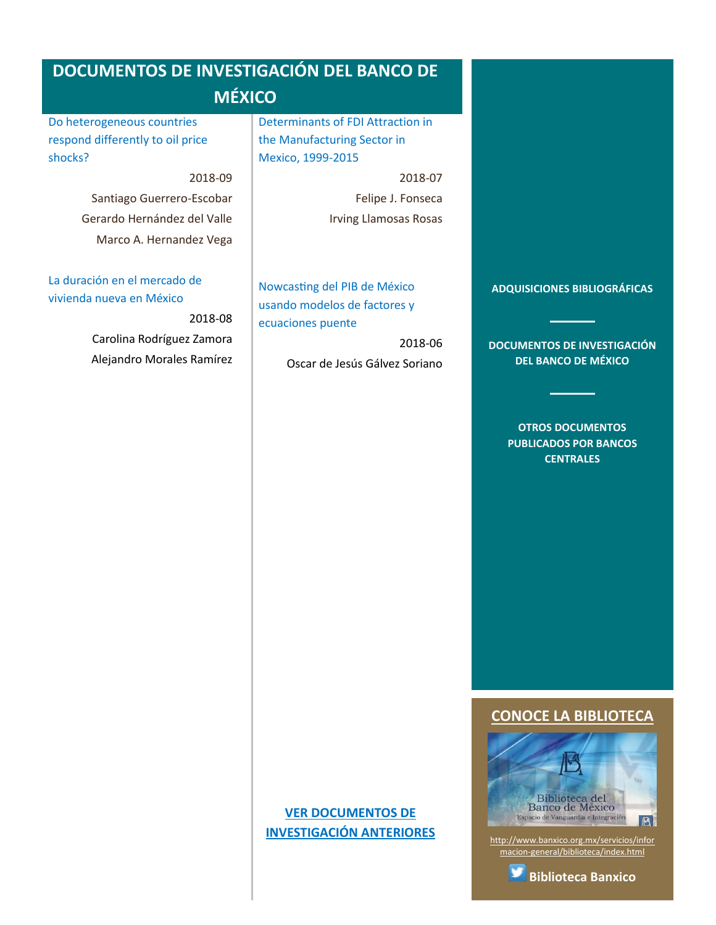<span id="page-2-0"></span>[Do heterogeneous countries](#page-10-0)  [respond differently to oil price](#page-10-0)  [shocks?](#page-10-0)

2018-09

Santiago Guerrero-Escobar Gerardo Hernández del Valle Marco A. Hernandez Vega

[La duración en el mercado de](#page-10-1)  [vivienda nueva en México](#page-10-1)

> 2018-08 Carolina Rodríguez Zamora Alejandro Morales Ramírez

[Determinants of FDI Attraction in](#page-11-0)  [the Manufacturing Sector in](#page-11-0)  [Mexico, 1999-2015](#page-11-0)

2018-07

Felipe J. Fonseca Irving Llamosas Rosas

[Nowcasting del PIB de México](#page-11-1)  [usando modelos de factores y](#page-11-1)  [ecuaciones puente](#page-11-1)

> 2018-06 Oscar de Jesús Gálvez Soriano

**[ADQUISICIONES BIBLIOGRÁFICAS](#page-1-0)**

**[DOCUMENTOS DE INVESTIGACIÓN](#page-2-0)  [DEL BANCO DE](#page-2-0) MÉXICO**

> **[OTROS DOCUMENTOS](#page-3-0)  [PUBLICADOS POR BANCOS](#page-3-0)  [CENTRALES](#page-3-0)**

**[CONOCE LA BIBLIOTECA](http://www.banxico.org.mx/servicios/informacion-general/biblioteca/index.html)**



[http://www.banxico.org.mx/servicios/infor](http://www.banxico.org.mx/servicios/informacion-general/biblioteca/index.html) [macion-general/biblioteca/index.html](http://www.banxico.org.mx/servicios/informacion-general/biblioteca/index.html)

# **[VER DOCUMENTOS DE](http://www.banxico.org.mx/viewers/JSP/docsInvestigacionAnio_es.jsp?static=y)  [INVESTIGACIÓN ANTERIORES](http://www.banxico.org.mx/viewers/JSP/docsInvestigacionAnio_es.jsp?static=y)**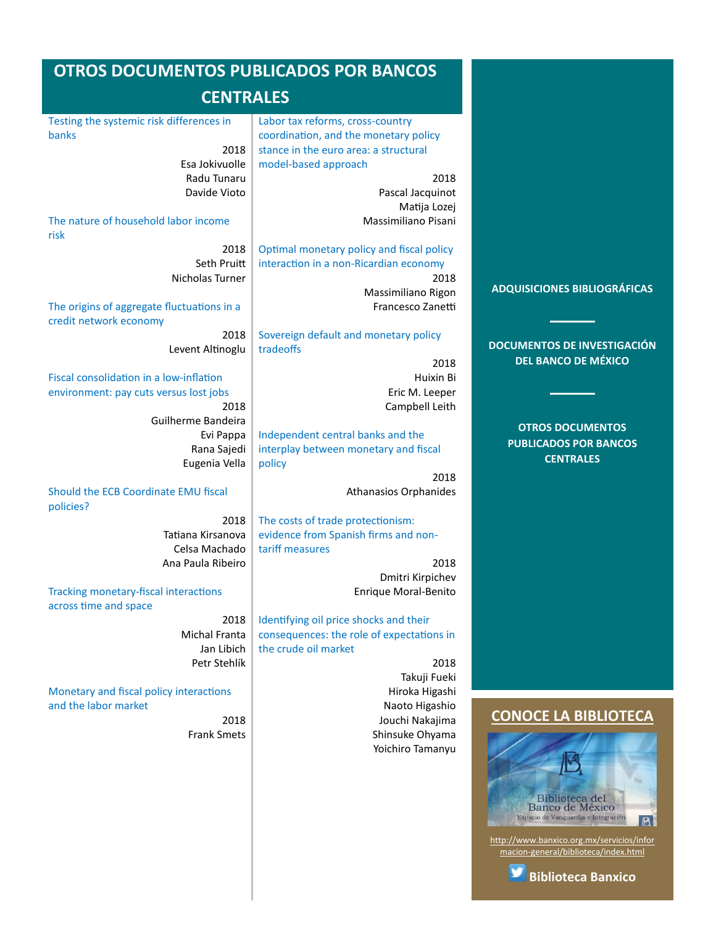#### <span id="page-3-0"></span>**OTROS DOCUMENTOS PUBLICADOS POR BANCOS CENTRALES** [Testing the systemic risk differences in](#page-12-0)  [banks](#page-12-0) 2018 Esa Jokivuolle Radu Tunaru Davide Vioto [The nature of household labor income](#page-12-1)  [risk](#page-12-1) 2018 Seth Pruitt Nicholas Turner [The origins of aggregate fluctuations in a](#page-12-2)  [credit network economy](#page-12-2) 2018 Levent Altinoglu [Fiscal consolidation in a low-inflation](#page-12-3)  [environment: pay cuts versus lost jobs](#page-12-3) 2018 Guilherme Bandeira Evi Pappa Rana Sajedi Eugenia Vella [Labor tax reforms, cross-country](#page-13-1)  [coordination, and the monetary policy](#page-13-1)  [stance in the euro area: a structural](#page-13-1)  [model-based approach](#page-13-1) 2018 Pascal Jacquinot Matija Lozej Massimiliano Pisani [Optimal monetary policy and fiscal policy](#page-13-2)  [interaction in a non-Ricardian economy](#page-13-2) 2018 Massimiliano Rigon Francesco Zanetti [Sovereign default and monetary policy](#page-13-3)  [tradeoffs](#page-13-3) 2018 Huixin Bi Eric M. Leeper Campbell Leith [Independent central banks and the](#page-13-4)  [interplay between monetary and fiscal](#page-13-4)  [policy](#page-13-4) **[ADQUISICIONES BIBLIOGRÁFICAS](#page-1-0) [DOCUMENTOS DE INVESTIGACIÓN](#page-2-0)  [DEL BANCO DE MÉXICO](#page-2-0) [OTROS DOCUMENTOS](#page-3-0)  [PUBLICADOS POR BANCOS](#page-3-0)  [CENTRALES](#page-3-0)**

[Should the ECB Coordinate EMU fiscal](#page-12-4)  [policies?](#page-12-4)

> 2018 Tatiana Kirsanova Celsa Machado Ana Paula Ribeiro

[Tracking monetary-fiscal interactions](#page-12-5)  [across time and space](#page-12-5) 2018

> Michal Franta Jan Libich Petr Stehlík

[Monetary and fiscal policy interactions](#page-13-0)  [and the labor market](#page-13-0)

> 2018 Frank Smets

[The costs of trade protectionism:](#page-13-5)  [evidence from Spanish firms and non](#page-13-5)[tariff measures](#page-13-5)

2018 Dmitri Kirpichev Enrique Moral-Benito

Athanasios Orphanides

2018

[Identifying oil price shocks and their](#page-14-0)  [consequences: the role of expectations in](#page-14-0)  [the crude oil market](#page-14-0)

2018 Takuji Fueki Hiroka Higashi Naoto Higashio Jouchi Nakajima Shinsuke Ohyama Yoichiro Tamanyu

# **[CONOCE LA BIBLIOTECA](http://www.banxico.org.mx/servicios/informacion-general/biblioteca/index.html)**



[http://www.banxico.org.mx/servicios/infor](http://www.banxico.org.mx/servicios/informacion-general/biblioteca/index.html) [macion-general/biblioteca/index.html](http://www.banxico.org.mx/servicios/informacion-general/biblioteca/index.html)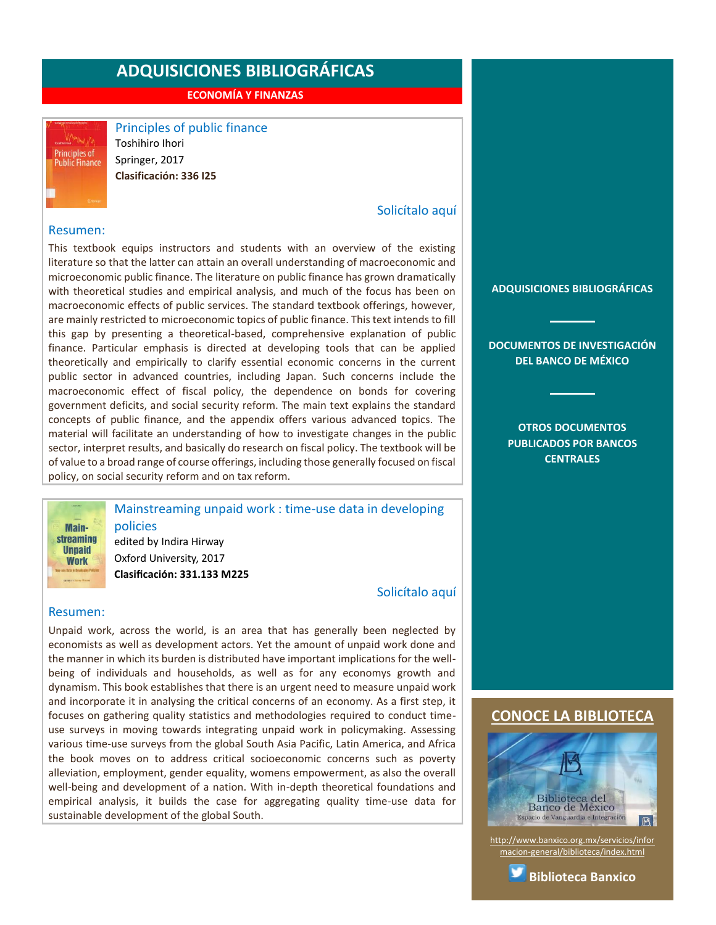**ECONOMÍA Y FINANZAS**



<span id="page-4-0"></span>Principles of public finance Toshihiro Ihori Springer, 2017 **Clasificación: 336 I25**

# [Solicítalo aquí](mailto:osbib@banxico.org.mx?subject=+Solicito%20el%20siguiente%20material&body=Solicito%20en%20préstamo%20el%20siguiente%20título%20%22Principles%20of%20public%20finance%22%20con%20clasificación%20336%20I25)

#### Resumen:

This textbook equips instructors and students with an overview of the existing literature so that the latter can attain an overall understanding of macroeconomic and microeconomic public finance. The literature on public finance has grown dramatically with theoretical studies and empirical analysis, and much of the focus has been on macroeconomic effects of public services. The standard textbook offerings, however, are mainly restricted to microeconomic topics of public finance. This text intends to fill this gap by presenting a theoretical-based, comprehensive explanation of public finance. Particular emphasis is directed at developing tools that can be applied theoretically and empirically to clarify essential economic concerns in the current public sector in advanced countries, including Japan. Such concerns include the macroeconomic effect of fiscal policy, the dependence on bonds for covering government deficits, and social security reform. The main text explains the standard concepts of public finance, and the appendix offers various advanced topics. The material will facilitate an understanding of how to investigate changes in the public sector, interpret results, and basically do research on fiscal policy. The textbook will be of value to a broad range of course offerings, including those generally focused on fiscal policy, on social security reform and on tax reform.

> <span id="page-4-1"></span>Mainstreaming unpaid work : time-use data in developing policies

edited by Indira Hirway Oxford University, 2017 **Clasificación: 331.133 M225**

[Solicítalo aquí](mailto:osbib@banxico.org.mx?subject=+Solicito%20el%20siguiente%20material&body=Solicito%20en%20préstamo%20el%20siguiente%20título%20%22Mainstreaming%20unpaid%20work%22%20con%20clasificación%20331.133%20M225)

#### Resumen:

**Mainstreaming Ilnnaid Work** 

Unpaid work, across the world, is an area that has generally been neglected by economists as well as development actors. Yet the amount of unpaid work done and the manner in which its burden is distributed have important implications for the wellbeing of individuals and households, as well as for any economys growth and dynamism. This book establishes that there is an urgent need to measure unpaid work and incorporate it in analysing the critical concerns of an economy. As a first step, it focuses on gathering quality statistics and methodologies required to conduct timeuse surveys in moving towards integrating unpaid work in policymaking. Assessing various time-use surveys from the global South Asia Pacific, Latin America, and Africa the book moves on to address critical socioeconomic concerns such as poverty alleviation, employment, gender equality, womens empowerment, as also the overall well-being and development of a nation. With in-depth theoretical foundations and empirical analysis, it builds the case for aggregating quality time-use data for sustainable development of the global South.

**[ADQUISICIONES BIBLIOGRÁFICAS](#page-1-0)**

**[DOCUMENTOS DE INVESTIGACIÓN](#page-2-0)  [DEL BANCO DE MÉXICO](#page-2-0)**

> **[OTROS DOCUMENTOS](#page-3-0)  [PUBLICADOS POR BANCOS](#page-3-0)  [CENTRALES](#page-3-0)**

# **[CONOCE LA BIBLIOTECA](http://www.banxico.org.mx/servicios/informacion-general/biblioteca/index.html)**



[http://www.banxico.org.mx/servicios/infor](http://www.banxico.org.mx/servicios/informacion-general/biblioteca/index.html) [macion-general/biblioteca/index.html](http://www.banxico.org.mx/servicios/informacion-general/biblioteca/index.html)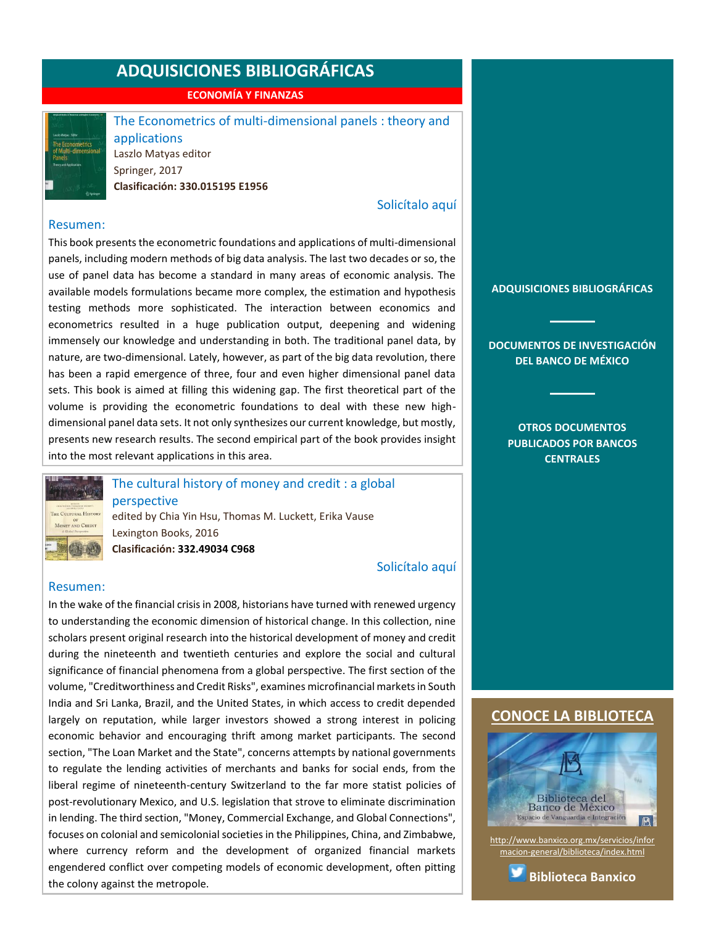**ECONOMÍA Y FINANZAS**



<span id="page-5-0"></span>The Econometrics of multi-dimensional panels : theory and applications Laszlo Matyas editor Springer, 2017 **Clasificación: 330.015195 E1956**

# [Solicítalo aquí](mailto:osbib@banxico.org.mx?subject=+Solicito%20el%20siguiente%20material&body=Solicito%20en%20préstamo%20el%20siguiente%20título%20%22The%20Econometrics%20of%20multi-dimensional%20panels%22%20con%20clasificación%20330.015195%20E1956)

#### Resumen:

This book presents the econometric foundations and applications of multi-dimensional panels, including modern methods of big data analysis. The last two decades or so, the use of panel data has become a standard in many areas of economic analysis. The available models formulations became more complex, the estimation and hypothesis testing methods more sophisticated. The interaction between economics and econometrics resulted in a huge publication output, deepening and widening immensely our knowledge and understanding in both. The traditional panel data, by nature, are two-dimensional. Lately, however, as part of the big data revolution, there has been a rapid emergence of three, four and even higher dimensional panel data sets. This book is aimed at filling this widening gap. The first theoretical part of the volume is providing the econometric foundations to deal with these new highdimensional panel data sets. It not only synthesizes our current knowledge, but mostly, presents new research results. The second empirical part of the book provides insight into the most relevant applications in this area.



<span id="page-5-1"></span>The cultural history of money and credit : a global perspective

edited by Chia Yin Hsu, Thomas M. Luckett, Erika Vause Lexington Books, 2016 **Clasificación: 332.49034 C968**

### [Solicítalo aquí](mailto:osbib@banxico.org.mx?subject=+Solicito%20el%20siguiente%20material&body=Solicito%20en%20préstamo%20el%20siguiente%20título%20%22The%20cultural%20history%20of%20money%20and%20credit%22%20con%20clasificación%20332.49034%20C968)

#### Resumen:

In the wake of the financial crisis in 2008, historians have turned with renewed urgency to understanding the economic dimension of historical change. In this collection, nine scholars present original research into the historical development of money and credit during the nineteenth and twentieth centuries and explore the social and cultural significance of financial phenomena from a global perspective. The first section of the volume, "Creditworthiness and Credit Risks", examines microfinancial markets in South India and Sri Lanka, Brazil, and the United States, in which access to credit depended largely on reputation, while larger investors showed a strong interest in policing economic behavior and encouraging thrift among market participants. The second section, "The Loan Market and the State", concerns attempts by national governments to regulate the lending activities of merchants and banks for social ends, from the liberal regime of nineteenth-century Switzerland to the far more statist policies of post-revolutionary Mexico, and U.S. legislation that strove to eliminate discrimination in lending. The third section, "Money, Commercial Exchange, and Global Connections", focuses on colonial and semicolonial societies in the Philippines, China, and Zimbabwe, where currency reform and the development of organized financial markets engendered conflict over competing models of economic development, often pitting the colony against the metropole.

**[ADQUISICIONES BIBLIOGRÁFICAS](#page-1-0)**

**[DOCUMENTOS DE INVESTIGACIÓN](#page-2-0)  [DEL BANCO DE MÉXICO](#page-2-0)**

> **[OTROS DOCUMENTOS](#page-3-0)  [PUBLICADOS POR BANCOS](#page-3-0)  [CENTRALES](#page-3-0)**

### **[CONOCE LA BIBLIOTECA](http://www.banxico.org.mx/servicios/informacion-general/biblioteca/index.html)**



[http://www.banxico.org.mx/servicios/infor](http://www.banxico.org.mx/servicios/informacion-general/biblioteca/index.html) [macion-general/biblioteca/index.html](http://www.banxico.org.mx/servicios/informacion-general/biblioteca/index.html)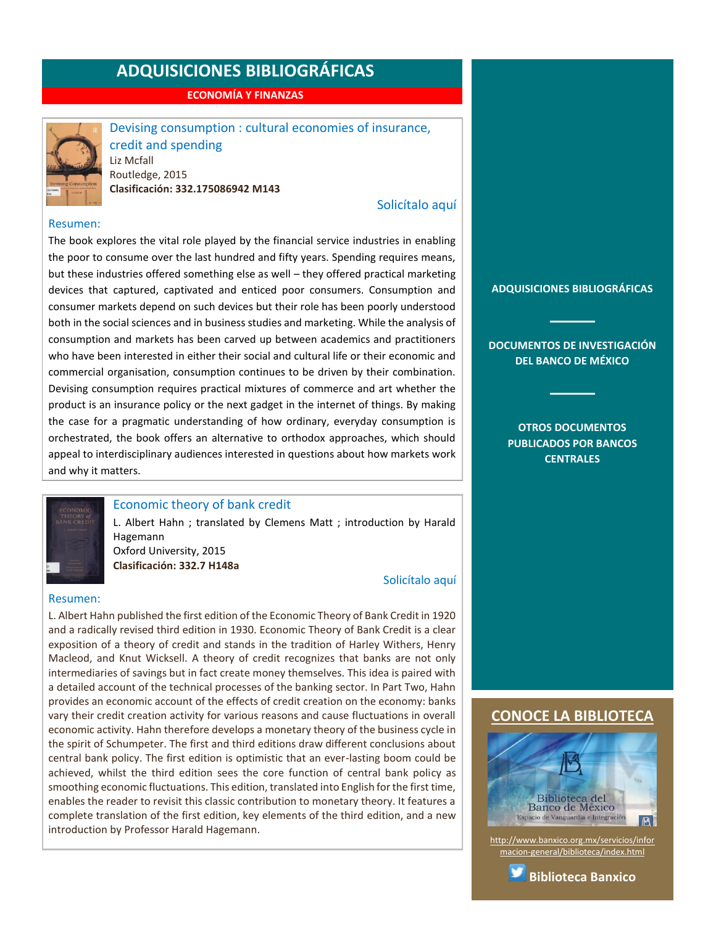**ECONOMÍA Y FINANZAS**



<span id="page-6-0"></span>Devising consumption : cultural economies of insurance, credit and spending Liz Mcfall Routledge, 2015 **Clasificación: 332.175086942 M143**

# [Solicítalo aquí](mailto:osbib@banxico.org.mx?subject=+Solicito%20el%20siguiente%20material&body=Solicito%20en%20préstamo%20el%20siguiente%20título%20%22Devising%20consumption%22%20con%20clasificación%20332.175086942%20M143)

#### Resumen:

The book explores the vital role played by the financial service industries in enabling the poor to consume over the last hundred and fifty years. Spending requires means, but these industries offered something else as well – they offered practical marketing devices that captured, captivated and enticed poor consumers. Consumption and consumer markets depend on such devices but their role has been poorly understood both in the social sciences and in business studies and marketing. While the analysis of consumption and markets has been carved up between academics and practitioners who have been interested in either their social and cultural life or their economic and commercial organisation, consumption continues to be driven by their combination. Devising consumption requires practical mixtures of commerce and art whether the product is an insurance policy or the next gadget in the internet of things. By making the case for a pragmatic understanding of how ordinary, everyday consumption is orchestrated, the book offers an alternative to orthodox approaches, which should appeal to interdisciplinary audiences interested in questions about how markets work and why it matters.



## <span id="page-6-1"></span>Economic theory of bank credit

L. Albert Hahn ; translated by Clemens Matt ; introduction by Harald Hagemann Oxford University, 2015

**Clasificación: 332.7 H148a**

#### [Solicítalo aquí](mailto:osbib@banxico.org.mx?subject=+Solicito%20el%20siguiente%20material&body=Solicito%20en%20préstamo%20el%20siguiente%20título%20%22Economic%20theory%20of%20bank%20credit%22%20con%20clasificación%20332.7%20H148a)

#### Resumen:

L. Albert Hahn published the first edition of the Economic Theory of Bank Credit in 1920 and a radically revised third edition in 1930. Economic Theory of Bank Credit is a clear exposition of a theory of credit and stands in the tradition of Harley Withers, Henry Macleod, and Knut Wicksell. A theory of credit recognizes that banks are not only intermediaries of savings but in fact create money themselves. This idea is paired with a detailed account of the technical processes of the banking sector. In Part Two, Hahn provides an economic account of the effects of credit creation on the economy: banks vary their credit creation activity for various reasons and cause fluctuations in overall economic activity. Hahn therefore develops a monetary theory of the business cycle in the spirit of Schumpeter. The first and third editions draw different conclusions about central bank policy. The first edition is optimistic that an ever-lasting boom could be achieved, whilst the third edition sees the core function of central bank policy as smoothing economic fluctuations. This edition, translated into English for the first time, enables the reader to revisit this classic contribution to monetary theory. It features a complete translation of the first edition, key elements of the third edition, and a new introduction by Professor Harald Hagemann.

**[ADQUISICIONES BIBLIOGRÁFICAS](#page-1-0)**

**[DOCUMENTOS DE INVESTIGACIÓN](#page-2-0)  [DEL BANCO DE MÉXICO](#page-2-0)**

> **[OTROS DOCUMENTOS](#page-3-0)  [PUBLICADOS POR BANCOS](#page-3-0)  [CENTRALES](#page-3-0)**

# **[CONOCE LA BIBLIOTECA](http://www.banxico.org.mx/servicios/informacion-general/biblioteca/index.html)**



[http://www.banxico.org.mx/servicios/infor](http://www.banxico.org.mx/servicios/informacion-general/biblioteca/index.html) [macion-general/biblioteca/index.html](http://www.banxico.org.mx/servicios/informacion-general/biblioteca/index.html)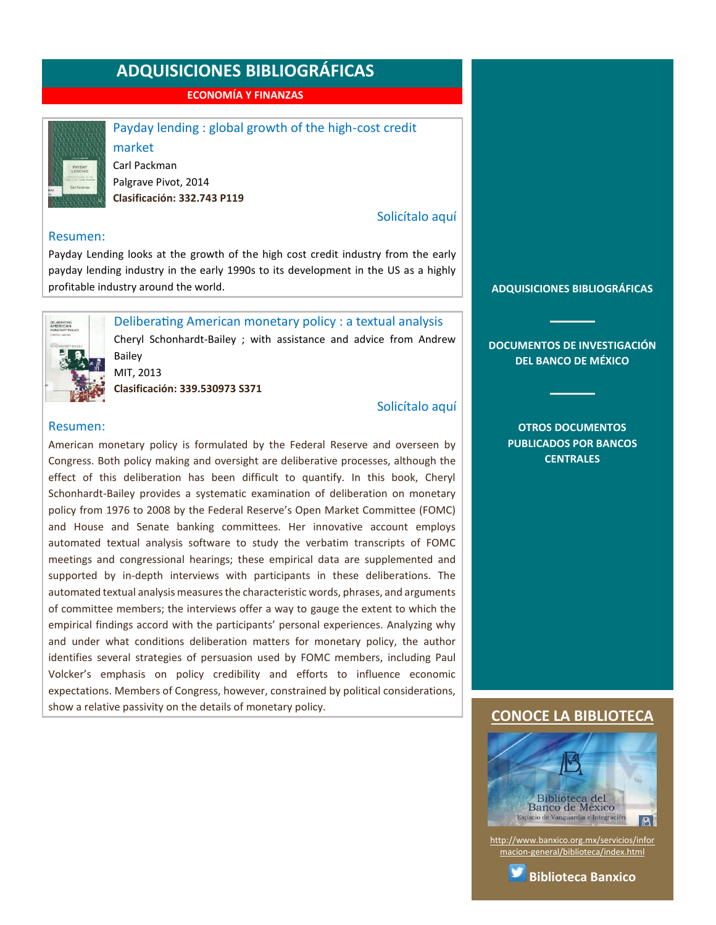**ECONOMÍA Y FINANZAS**



#### <span id="page-7-0"></span>Payday lending : global growth of the high-cost credit

market Carl Packman Palgrave Pivot, 2014 **Clasificación: 332.743 P119**

#### [Solicítalo aquí](mailto:osbib@banxico.org.mx?subject=+Solicito%20el%20siguiente%20material&body=Solicito%20en%20préstamo%20el%20siguiente%20título%20%22Payday%20lending%22%20con%20clasificación%20332.743%20P119)

#### Resumen:

Payday Lending looks at the growth of the high cost credit industry from the early payday lending industry in the early 1990s to its development in the US as a highly profitable industry around the world.



# <span id="page-7-1"></span>Deliberating American monetary policy : a textual analysis

Cheryl Schonhardt-Bailey ; with assistance and advice from Andrew Bailey MIT, 2013

**Clasificación: 339.530973 S371**

### [Solicítalo aquí](mailto:osbib@banxico.org.mx?subject=+Solicito%20el%20siguiente%20material&body=Solicito%20en%20préstamo%20el%20siguiente%20título%20%22Deliberating%20American%20monetary%20policy%22%20con%20clasificación%20339.530973%20S371)

#### Resumen:

American monetary policy is formulated by the Federal Reserve and overseen by Congress. Both policy making and oversight are deliberative processes, although the effect of this deliberation has been difficult to quantify. In this book, Cheryl Schonhardt-Bailey provides a systematic examination of deliberation on monetary policy from 1976 to 2008 by the Federal Reserve's Open Market Committee (FOMC) and House and Senate banking committees. Her innovative account employs automated textual analysis software to study the verbatim transcripts of FOMC meetings and congressional hearings; these empirical data are supplemented and supported by in-depth interviews with participants in these deliberations. The automated textual analysis measures the characteristic words, phrases, and arguments of committee members; the interviews offer a way to gauge the extent to which the empirical findings accord with the participants' personal experiences. Analyzing why and under what conditions deliberation matters for monetary policy, the author identifies several strategies of persuasion used by FOMC members, including Paul Volcker's emphasis on policy credibility and efforts to influence economic expectations. Members of Congress, however, constrained by political considerations, show a relative passivity on the details of monetary policy.

**[ADQUISICIONES BIBLIOGRÁFICAS](#page-1-0)**

**[DOCUMENTOS DE INVESTIGACIÓN](#page-2-0)  [DEL BANCO DE MÉXICO](#page-2-0)**

#### **[OTROS DOCUMENTOS](#page-3-0)  [PUBLICADOS POR BANCOS](#page-3-0)  [CENTRALES](#page-3-0)**

### **[CONOCE LA BIBLIOTECA](http://www.banxico.org.mx/servicios/informacion-general/biblioteca/index.html)**



[http://www.banxico.org.mx/servicios/infor](http://www.banxico.org.mx/servicios/informacion-general/biblioteca/index.html) [macion-general/biblioteca/index.html](http://www.banxico.org.mx/servicios/informacion-general/biblioteca/index.html)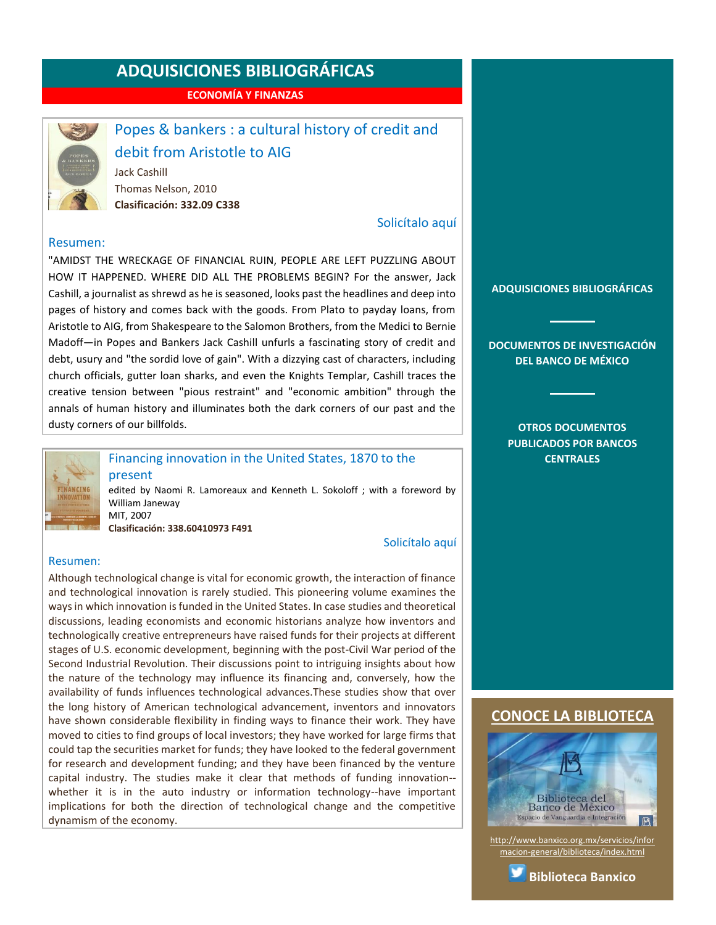**ECONOMÍA Y FINANZAS**



# <span id="page-8-0"></span>Popes & bankers : a cultural history of credit and

# debit from Aristotle to AIG

Jack Cashill Thomas Nelson, 2010 **Clasificación: 332.09 C338**

# [Solicítalo aquí](mailto:osbib@banxico.org.mx?subject=+Solicito%20el%20siguiente%20material&body=Solicito%20en%20préstamo%20el%20siguiente%20título%20%22Popes%20and%20bankers%22%20con%20clasificación%20332.09%20C338)

#### Resumen:

"AMIDST THE WRECKAGE OF FINANCIAL RUIN, PEOPLE ARE LEFT PUZZLING ABOUT HOW IT HAPPENED. WHERE DID ALL THE PROBLEMS BEGIN? For the answer, Jack Cashill, a journalist as shrewd as he is seasoned, looks past the headlines and deep into pages of history and comes back with the goods. From Plato to payday loans, from Aristotle to AIG, from Shakespeare to the Salomon Brothers, from the Medici to Bernie Madoff―in Popes and Bankers Jack Cashill unfurls a fascinating story of credit and debt, usury and "the sordid love of gain". With a dizzying cast of characters, including church officials, gutter loan sharks, and even the Knights Templar, Cashill traces the creative tension between "pious restraint" and "economic ambition" through the annals of human history and illuminates both the dark corners of our past and the dusty corners of our billfolds.



# <span id="page-8-1"></span>Financing innovation in the United States, 1870 to the

present edited by Naomi R. Lamoreaux and Kenneth L. Sokoloff ; with a foreword by William Janeway MIT, 2007

**Clasificación: 338.60410973 F491**

#### [Solicítalo aquí](mailto:osbib@banxico.org.mx?subject=+Solicito%20el%20siguiente%20material&body=Solicito%20en%20préstamo%20el%20siguiente%20título%20%22Financing%20innovation%20in%20the%20United%20States,%201870%20to%20the%20present%22%20con%20clasificación%20338.60410973%20F491)

#### Resumen:

Although technological change is vital for economic growth, the interaction of finance and technological innovation is rarely studied. This pioneering volume examines the ways in which innovation is funded in the United States. In case studies and theoretical discussions, leading economists and economic historians analyze how inventors and technologically creative entrepreneurs have raised funds for their projects at different stages of U.S. economic development, beginning with the post-Civil War period of the Second Industrial Revolution. Their discussions point to intriguing insights about how the nature of the technology may influence its financing and, conversely, how the availability of funds influences technological advances.These studies show that over the long history of American technological advancement, inventors and innovators have shown considerable flexibility in finding ways to finance their work. They have moved to cities to find groups of local investors; they have worked for large firms that could tap the securities market for funds; they have looked to the federal government for research and development funding; and they have been financed by the venture capital industry. The studies make it clear that methods of funding innovation- whether it is in the auto industry or information technology--have important implications for both the direction of technological change and the competitive dynamism of the economy.

**[ADQUISICIONES BIBLIOGRÁFICAS](#page-1-0)**

**[DOCUMENTOS DE INVESTIGACIÓN](#page-2-0)  [DEL BANCO DE MÉXICO](#page-2-0)**

> **[OTROS DOCUMENTOS](#page-3-0)  [PUBLICADOS POR BANCOS](#page-3-0)  [CENTRALES](#page-3-0)**

### **[CONOCE LA BIBLIOTECA](http://www.banxico.org.mx/servicios/informacion-general/biblioteca/index.html)**



[http://www.banxico.org.mx/servicios/infor](http://www.banxico.org.mx/servicios/informacion-general/biblioteca/index.html) [macion-general/biblioteca/index.html](http://www.banxico.org.mx/servicios/informacion-general/biblioteca/index.html)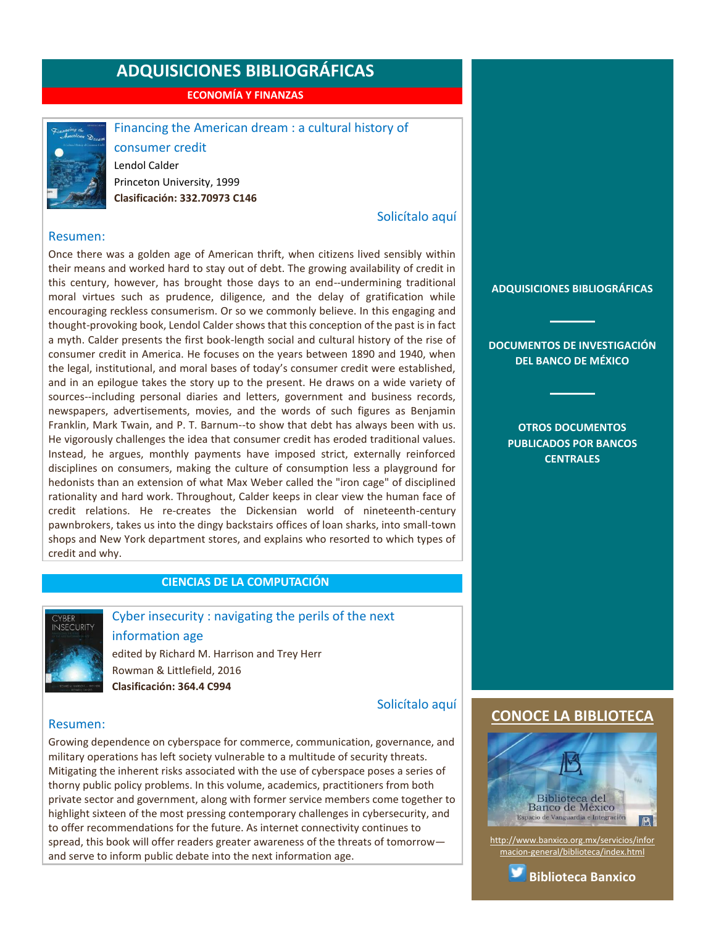**ECONOMÍA Y FINANZAS**



## <span id="page-9-0"></span>Financing the American dream : a cultural history of

consumer credit Lendol Calder Princeton University, 1999 **Clasificación: 332.70973 C146**

#### [Solicítalo aquí](mailto:osbib@banxico.org.mx?subject=+Solicito%20el%20siguiente%20material&body=Solicito%20en%20préstamo%20el%20siguiente%20título%20%22Financing%20the%20American%20dream%22%20con%20clasificación%20332.70973%20C146)

#### Resumen:

Once there was a golden age of American thrift, when citizens lived sensibly within their means and worked hard to stay out of debt. The growing availability of credit in this century, however, has brought those days to an end--undermining traditional moral virtues such as prudence, diligence, and the delay of gratification while encouraging reckless consumerism. Or so we commonly believe. In this engaging and thought-provoking book, Lendol Calder shows that this conception of the past is in fact a myth. Calder presents the first book-length social and cultural history of the rise of consumer credit in America. He focuses on the years between 1890 and 1940, when the legal, institutional, and moral bases of today's consumer credit were established, and in an epilogue takes the story up to the present. He draws on a wide variety of sources--including personal diaries and letters, government and business records, newspapers, advertisements, movies, and the words of such figures as Benjamin Franklin, Mark Twain, and P. T. Barnum--to show that debt has always been with us. He vigorously challenges the idea that consumer credit has eroded traditional values. Instead, he argues, monthly payments have imposed strict, externally reinforced disciplines on consumers, making the culture of consumption less a playground for hedonists than an extension of what Max Weber called the "iron cage" of disciplined rationality and hard work. Throughout, Calder keeps in clear view the human face of credit relations. He re-creates the Dickensian world of nineteenth-century pawnbrokers, takes us into the dingy backstairs offices of loan sharks, into small-town shops and New York department stores, and explains who resorted to which types of credit and why.

# **CIENCIAS DE LA COMPUTACIÓN**



# <span id="page-9-1"></span>Cyber insecurity : navigating the perils of the next

information age

edited by Richard M. Harrison and Trey Herr Rowman & Littlefield, 2016 **Clasificación: 364.4 C994**

[Solicítalo aquí](mailto:osbib@banxico.org.mx?subject=+Solicito%20el%20siguiente%20material&body=Solicito%20en%20préstamo%20el%20siguiente%20título%20%22Cyber%20insecurity%22%20con%20clasificación%20364.4%20C994)

#### Resumen:

Growing dependence on cyberspace for commerce, communication, governance, and military operations has left society vulnerable to a multitude of security threats. Mitigating the inherent risks associated with the use of cyberspace poses a series of thorny public policy problems. In this volume, academics, practitioners from both private sector and government, along with former service members come together to highlight sixteen of the most pressing contemporary challenges in cybersecurity, and to offer recommendations for the future. As internet connectivity continues to spread, this book will offer readers greater awareness of the threats of tomorrow and serve to inform public debate into the next information age.

#### **[ADQUISICIONES BIBLIOGRÁFICAS](#page-1-0)**

**[DOCUMENTOS DE INVESTIGACIÓN](#page-2-0)  [DEL BANCO DE MÉXICO](#page-2-0)**

> **[OTROS DOCUMENTOS](#page-3-0)  [PUBLICADOS POR BANCOS](#page-3-0)  [CENTRALES](#page-3-0)**

### **[CONOCE LA BIBLIOTECA](http://www.banxico.org.mx/servicios/informacion-general/biblioteca/index.html)**



[http://www.banxico.org.mx/servicios/infor](http://www.banxico.org.mx/servicios/informacion-general/biblioteca/index.html) [macion-general/biblioteca/index.html](http://www.banxico.org.mx/servicios/informacion-general/biblioteca/index.html)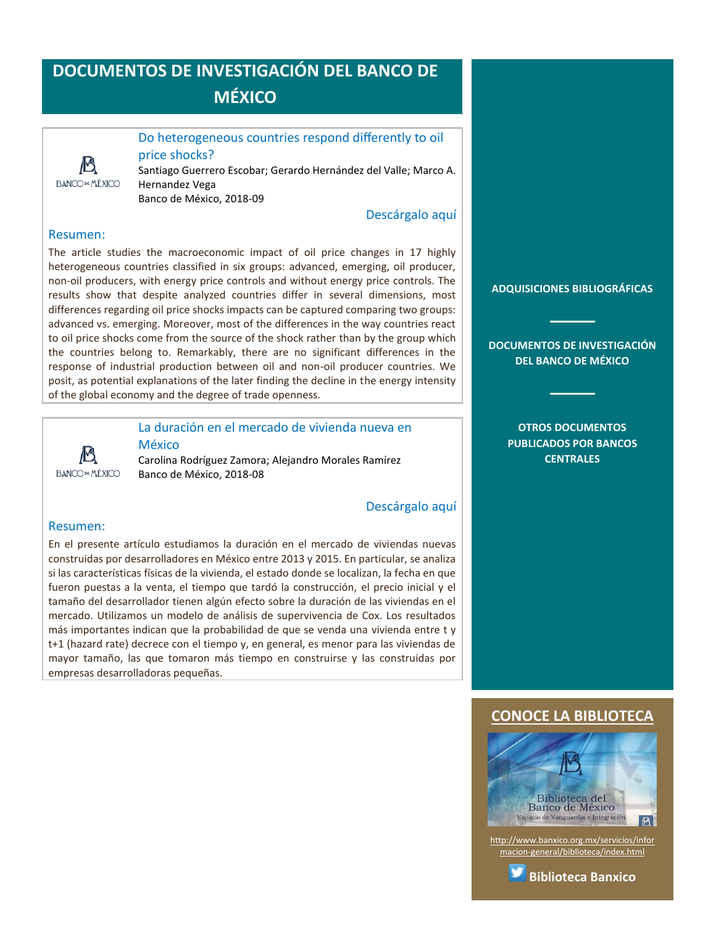

<span id="page-10-0"></span>Do heterogeneous countries respond differently to oil price shocks?

Santiago Guerrero Escobar; Gerardo Hernández del Valle; Marco A. Hernandez Vega

Banco de México, 2018-09

[Descárgalo aquí](http://www.banxico.org.mx/publicaciones-y-discursos/publicaciones/documentos-de-investigacion/banxico/%7B3E2BC30F-0A87-8559-86F5-F2E30659898E%7D.pdf)

# Resumen:

The article studies the macroeconomic impact of oil price changes in 17 highly heterogeneous countries classified in six groups: advanced, emerging, oil producer, non-oil producers, with energy price controls and without energy price controls. The results show that despite analyzed countries differ in several dimensions, most differences regarding oil price shocks impacts can be captured comparing two groups: advanced vs. emerging. Moreover, most of the differences in the way countries react to oil price shocks come from the source of the shock rather than by the group which the countries belong to. Remarkably, there are no significant differences in the response of industrial production between oil and non-oil producer countries. We posit, as potential explanations of the later finding the decline in the energy intensity of the global economy and the degree of trade openness.



# <span id="page-10-1"></span>La duración en el mercado de vivienda nueva en

México Carolina Rodríguez Zamora; Alejandro Morales Ramírez Banco de México, 2018-08

### [Descárgalo aquí](http://www.banxico.org.mx/publicaciones-y-discursos/publicaciones/documentos-de-investigacion/banxico/%7BF93A3BE3-5E9A-5B50-D14B-8B83D8E58DEA%7D.pdf)

#### Resumen:

En el presente artículo estudiamos la duración en el mercado de viviendas nuevas construidas por desarrolladores en México entre 2013 y 2015. En particular, se analiza si las características físicas de la vivienda, el estado donde se localizan, la fecha en que fueron puestas a la venta, el tiempo que tardó la construcción, el precio inicial y el tamaño del desarrollador tienen algún efecto sobre la duración de las viviendas en el mercado. Utilizamos un modelo de análisis de supervivencia de Cox. Los resultados más importantes indican que la probabilidad de que se venda una vivienda entre t y t+1 (hazard rate) decrece con el tiempo y, en general, es menor para las viviendas de mayor tamaño, las que tomaron más tiempo en construirse y las construidas por empresas desarrolladoras pequeñas.

**[ADQUISICIONES BIBLIOGRÁFICAS](#page-1-0)**

**[DOCUMENTOS DE INVESTIGACIÓN](#page-2-0)  [DEL BANCO DE MÉXICO](#page-2-0)**

> **[OTROS DOCUMENTOS](#page-3-0)  [PUBLICADOS POR BANCOS](#page-3-0)  [CENTRALES](#page-3-0)**

# **[CONOCE LA BIBLIOTECA](http://www.banxico.org.mx/servicios/informacion-general/biblioteca/index.html)**



[http://www.banxico.org.mx/servicios/infor](http://www.banxico.org.mx/servicios/informacion-general/biblioteca/index.html) [macion-general/biblioteca/index.html](http://www.banxico.org.mx/servicios/informacion-general/biblioteca/index.html)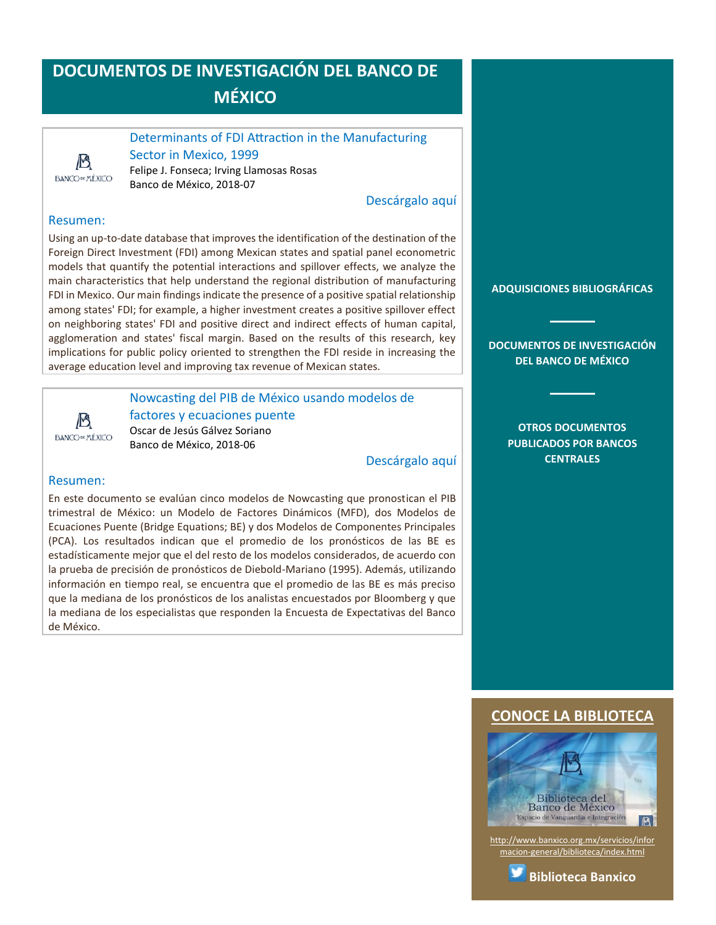### <span id="page-11-0"></span>Determinants of FDI Attraction in the Manufacturing

13 **BANCODE MÉXICO**  Sector in Mexico, 1999 Felipe J. Fonseca; Irving Llamosas Rosas Banco de México, 2018-07

[Descárgalo aquí](http://www.banxico.org.mx/publicaciones-y-discursos/publicaciones/documentos-de-investigacion/banxico/%7B747BAF7C-D00E-F0AC-439A-F38F110C4A2E%7D.pdf)

# Resumen:

Using an up-to-date database that improves the identification of the destination of the Foreign Direct Investment (FDI) among Mexican states and spatial panel econometric models that quantify the potential interactions and spillover effects, we analyze the main characteristics that help understand the regional distribution of manufacturing FDI in Mexico. Our main findings indicate the presence of a positive spatial relationship among states' FDI; for example, a higher investment creates a positive spillover effect on neighboring states' FDI and positive direct and indirect effects of human capital, agglomeration and states' fiscal margin. Based on the results of this research, key implications for public policy oriented to strengthen the FDI reside in increasing the average education level and improving tax revenue of Mexican states.



<span id="page-11-1"></span>Nowcasting del PIB de México usando modelos de factores y ecuaciones puente Oscar de Jesús Gálvez Soriano Banco de México, 2018-06

[Descárgalo aquí](http://www.banxico.org.mx/publicaciones-y-discursos/publicaciones/documentos-de-investigacion/banxico/%7B03BD7B1F-A30F-9CD0-58D0-55BE32F2EAE2%7D.pdf)

### Resumen:

En este documento se evalúan cinco modelos de Nowcasting que pronostican el PIB trimestral de México: un Modelo de Factores Dinámicos (MFD), dos Modelos de Ecuaciones Puente (Bridge Equations; BE) y dos Modelos de Componentes Principales (PCA). Los resultados indican que el promedio de los pronósticos de las BE es estadísticamente mejor que el del resto de los modelos considerados, de acuerdo con la prueba de precisión de pronósticos de Diebold-Mariano (1995). Además, utilizando información en tiempo real, se encuentra que el promedio de las BE es más preciso que la mediana de los pronósticos de los analistas encuestados por Bloomberg y que la mediana de los especialistas que responden la Encuesta de Expectativas del Banco de México.

**[ADQUISICIONES BIBLIOGRÁFICAS](#page-1-0)**

**[DOCUMENTOS DE INVESTIGACIÓN](#page-2-0)  [DEL BANCO DE MÉXICO](#page-2-0)**

> **[OTROS DOCUMENTOS](#page-3-0)  [PUBLICADOS POR BANCOS](#page-3-0)  [CENTRALES](#page-3-0)**

# **[CONOCE LA BIBLIOTECA](http://www.banxico.org.mx/servicios/informacion-general/biblioteca/index.html)**



[http://www.banxico.org.mx/servicios/infor](http://www.banxico.org.mx/servicios/informacion-general/biblioteca/index.html) [macion-general/biblioteca/index.html](http://www.banxico.org.mx/servicios/informacion-general/biblioteca/index.html)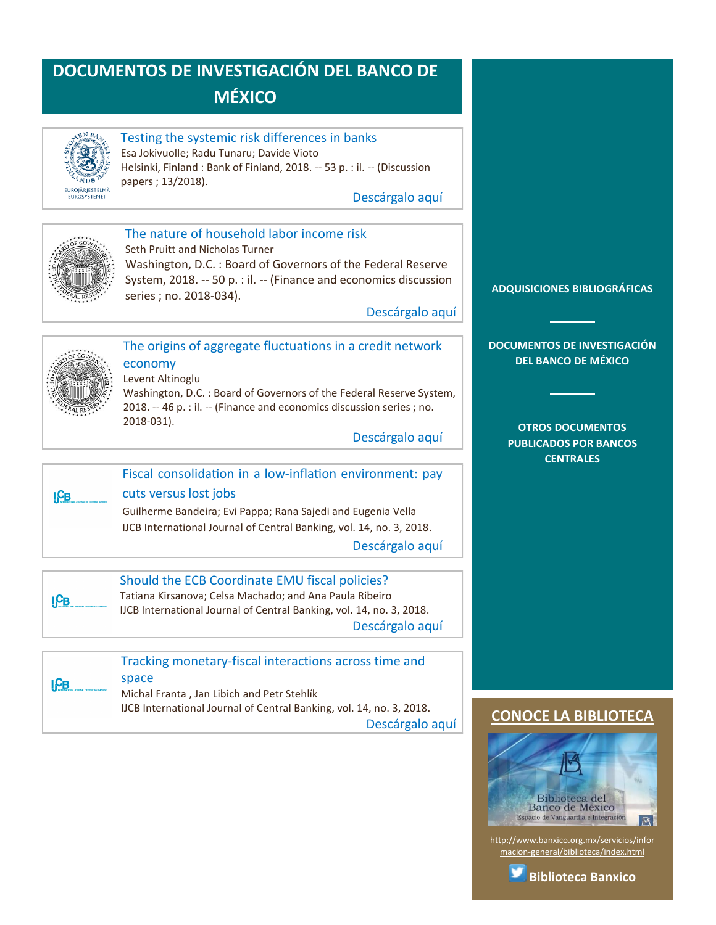

# <span id="page-12-0"></span>Testing the systemic risk differences in banks

Esa Jokivuolle; Radu Tunaru; Davide Vioto Helsinki, Finland : Bank of Finland, 2018. -- 53 p. : il. -- (Discussion papers ; 13/2018).

[Descárgalo aquí](https://helda.helsinki.fi/bof/bitstream/123456789/15525/1/BoF_DP_1813.pdf)



# <span id="page-12-1"></span>The nature of household labor income risk

Seth Pruitt and Nicholas Turner

Washington, D.C. : Board of Governors of the Federal Reserve System, 2018. -- 50 p. : il. -- (Finance and economics discussion series ; no. 2018-034).

[Descárgalo aquí](https://www.federalreserve.gov/econres/feds/files/2018034pap.pdf)



# <span id="page-12-2"></span>The origins of aggregate fluctuations in a credit network economy Levent Altinoglu

Washington, D.C. : Board of Governors of the Federal Reserve System, 2018. -- 46 p. : il. -- (Finance and economics discussion series ; no. 2018-031).

[Descárgalo aquí](https://www.federalreserve.gov/econres/feds/files/2018031pap.pdf)



# <span id="page-12-3"></span>Fiscal consolidation in a low-inflation environment: pay cuts versus lost jobs Guilherme Bandeira; Evi Pappa; Rana Sajedi and Eugenia Vella IJCB International Journal of Central Banking, vol. 14, no. 3, 2018.

[Descárgalo aquí](http://www.ijcb.org/journal/ijcb18q2a1.pdf)



# <span id="page-12-4"></span>Should the ECB Coordinate EMU fiscal policies?

Tatiana Kirsanova; Celsa Machado; and Ana Paula Ribeiro IJCB International Journal of Central Banking, vol. 14, no. 3, 2018. [Descárgalo aquí](http://www.ijcb.org/journal/ijcb18q2a5.pdf)



## <span id="page-12-5"></span>Tracking monetary-fiscal interactions across time and space Michal Franta , Jan Libich and Petr Stehlík

IJCB International Journal of Central Banking, vol. 14, no. 3, 2018. [Descárgalo aquí](http://www.ijcb.org/journal/ijcb18q2a4.pdf)

# **[ADQUISICIONES BIBLIOGRÁFICAS](#page-1-0)**

**[DOCUMENTOS DE INVESTIGACIÓN](#page-2-0)  [DEL BANCO DE MÉXICO](#page-2-0)**

## **[OTROS DOCUMENTOS](#page-3-0)  [PUBLICADOS POR BANCOS](#page-3-0)  [CENTRALES](#page-3-0)**

# **[CONOCE LA BIBLIOTECA](http://www.banxico.org.mx/servicios/informacion-general/biblioteca/index.html)**



[http://www.banxico.org.mx/servicios/infor](http://www.banxico.org.mx/servicios/informacion-general/biblioteca/index.html) [macion-general/biblioteca/index.html](http://www.banxico.org.mx/servicios/informacion-general/biblioteca/index.html)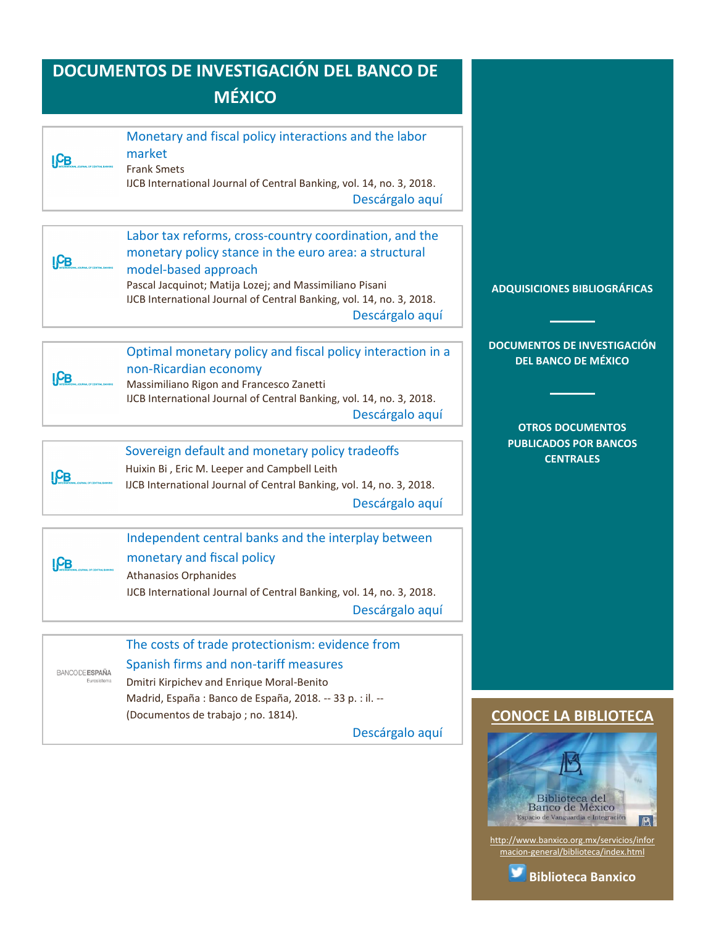<span id="page-13-3"></span><span id="page-13-2"></span><span id="page-13-1"></span><span id="page-13-0"></span>

| I <sub>CB</sub>                      | Monetary and fiscal policy interactions and the labor<br>market<br><b>Frank Smets</b><br>IJCB International Journal of Central Banking, vol. 14, no. 3, 2018.<br>Descárgalo aquí                                                                                                              |                                                                                             |
|--------------------------------------|-----------------------------------------------------------------------------------------------------------------------------------------------------------------------------------------------------------------------------------------------------------------------------------------------|---------------------------------------------------------------------------------------------|
| I <sub>CB</sub>                      | Labor tax reforms, cross-country coordination, and the<br>monetary policy stance in the euro area: a structural<br>model-based approach<br>Pascal Jacquinot; Matija Lozej; and Massimiliano Pisani<br>IJCB International Journal of Central Banking, vol. 14, no. 3, 2018.<br>Descárgalo aquí | <b>ADQUISICIONES BIBLIOGRÁFICAS</b>                                                         |
| ICB                                  | Optimal monetary policy and fiscal policy interaction in a<br>non-Ricardian economy<br>Massimiliano Rigon and Francesco Zanetti<br>IJCB International Journal of Central Banking, vol. 14, no. 3, 2018.<br>Descárgalo aquí                                                                    | <b>DOCUMENTOS DE INVESTIGACIÓN</b><br><b>DEL BANCO DE MÉXICO</b><br><b>OTROS DOCUMENTOS</b> |
| ICB                                  | Sovereign default and monetary policy tradeoffs<br>Huixin Bi, Eric M. Leeper and Campbell Leith<br>IJCB International Journal of Central Banking, vol. 14, no. 3, 2018.<br>Descárgalo aquí                                                                                                    | <b>PUBLICADOS POR BANCOS</b><br><b>CENTRALES</b>                                            |
| ICB                                  | Independent central banks and the interplay between<br>monetary and fiscal policy<br><b>Athanasios Orphanides</b><br>IJCB International Journal of Central Banking, vol. 14, no. 3, 2018.<br>Descárgalo aquí                                                                                  |                                                                                             |
| <b>BANCODE ESPAÑA</b><br>Eurosistema | The costs of trade protectionism: evidence from<br>Spanish firms and non-tariff measures<br>Dmitri Kirpichev and Enrique Moral-Benito<br>Madrid, España : Banco de España, 2018. -- 33 p. : il. --                                                                                            |                                                                                             |
|                                      | (Documentos de trabajo ; no. 1814).                                                                                                                                                                                                                                                           | <b>CONOCE LA BIBLIOTECA</b>                                                                 |

<span id="page-13-5"></span><span id="page-13-4"></span>[Descárgalo aquí](https://www.bde.es/f/webbde/SES/Secciones/Publicaciones/PublicacionesSeriadas/DocumentosTrabajo/18/Files/dt1814e.pdf)

[http://www.banxico.org.mx/servicios/infor](http://www.banxico.org.mx/servicios/informacion-general/biblioteca/index.html) [macion-general/biblioteca/index.html](http://www.banxico.org.mx/servicios/informacion-general/biblioteca/index.html)

v

Biblioteca del<br>Banco de México Espacio de Vanguardia e Integración

**[Biblioteca Banxico](https://twitter.com/BiblioBanxico)**

B